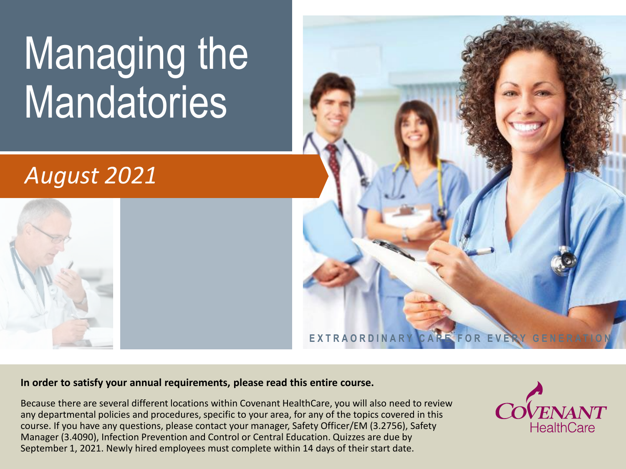# Managing the Mandatories

### *August 2021*





#### **In order to satisfy your annual requirements, please read this entire course.**

Because there are several different locations within Covenant HealthCare, you will also need to review any departmental policies and procedures, specific to your area, for any of the topics covered in this course. If you have any questions, please contact your manager, Safety Officer/EM (3.2756), Safety Manager (3.4090), Infection Prevention and Control or Central Education. Quizzes are due by September 1, 2021. Newly hired employees must complete within 14 days of their start date.

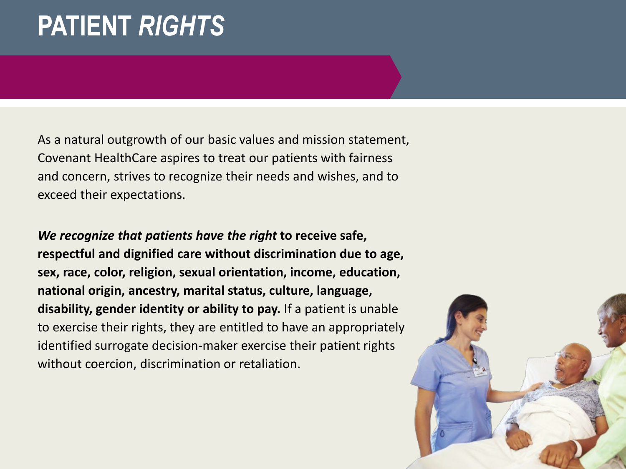### **PATIENT** *RIGHTS*

As a natural outgrowth of our basic values and mission statement, Covenant HealthCare aspires to treat our patients with fairness and concern, strives to recognize their needs and wishes, and to exceed their expectations.

*We recognize that patients have the right* **to receive safe, respectful and dignified care without discrimination due to age, sex, race, color, religion, sexual orientation, income, education, national origin, ancestry, marital status, culture, language, disability, gender identity or ability to pay.** If a patient is unable to exercise their rights, they are entitled to have an appropriately identified surrogate decision-maker exercise their patient rights without coercion, discrimination or retaliation.

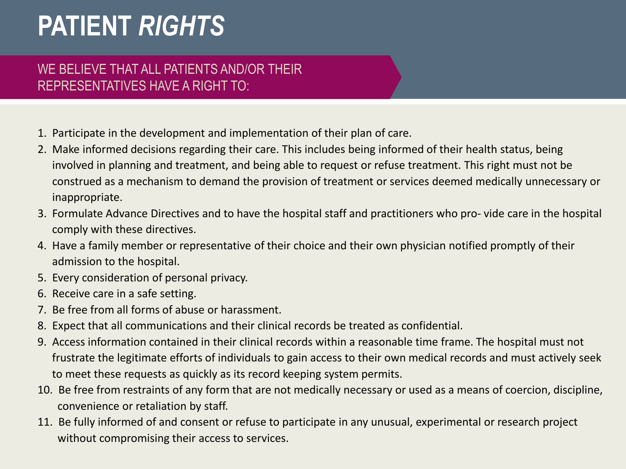### **PATIENT** *RIGHTS*

#### WE BELIEVE THAT ALL PATIENTS AND/OR THEIR REPRESENTATIVES HAVE A RIGHT TO:

- 1. Participate in the development and implementation of their plan of care.
- 2. Make informed decisions regarding their care. This includes being informed of their health status, being involved in planning and treatment, and being able to request or refuse treatment. This right must not be construed as a mechanism to demand the provision of treatment or services deemed medically unnecessary or inappropriate.
- 3. Formulate Advance Directives and to have the hospital staff and practitioners who pro- vide care in the hospital comply with these directives.
- 4. Have a family member or representative of their choice and their own physician notified promptly of their admission to the hospital.
- 5. Every consideration of personal privacy.
- 6. Receive care in a safe setting.
- 7. Be free from all forms of abuse or harassment.
- 8. Expect that all communications and their clinical records be treated as confidential.
- 9. Access information contained in their clinical records within a reasonable time frame. The hospital must not frustrate the legitimate efforts of individuals to gain access to their own medical records and must actively seek to meet these requests as quickly as its record keeping system permits.
- 10. Be free from restraints of any form that are not medically necessary or used as a means of coercion, discipline, convenience or retaliation by staff.
- 11. Be fully informed of and consent or refuse to participate in any unusual, experimental or research project without compromising their access to services.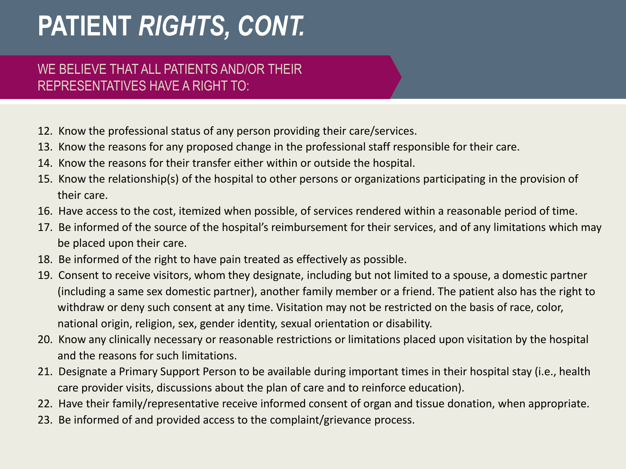### **PATIENT** *RIGHTS, CONT.*

#### WE BELIEVE THAT ALL PATIENTS AND/OR THEIR REPRESENTATIVES HAVE A RIGHT TO:

- 12. Know the professional status of any person providing their care/services.
- 13. Know the reasons for any proposed change in the professional staff responsible for their care.
- 14. Know the reasons for their transfer either within or outside the hospital.
- 15. Know the relationship(s) of the hospital to other persons or organizations participating in the provision of their care.
- 16. Have access to the cost, itemized when possible, of services rendered within a reasonable period of time.
- 17. Be informed of the source of the hospital's reimbursement for their services, and of any limitations which may be placed upon their care.
- 18. Be informed of the right to have pain treated as effectively as possible.
- 19. Consent to receive visitors, whom they designate, including but not limited to a spouse, a domestic partner (including a same sex domestic partner), another family member or a friend. The patient also has the right to withdraw or deny such consent at any time. Visitation may not be restricted on the basis of race, color, national origin, religion, sex, gender identity, sexual orientation or disability.
- 20. Know any clinically necessary or reasonable restrictions or limitations placed upon visitation by the hospital and the reasons for such limitations.
- 21. Designate a Primary Support Person to be available during important times in their hospital stay (i.e., health care provider visits, discussions about the plan of care and to reinforce education).
- 22. Have their family/representative receive informed consent of organ and tissue donation, when appropriate.
- 23. Be informed of and provided access to the complaint/grievance process.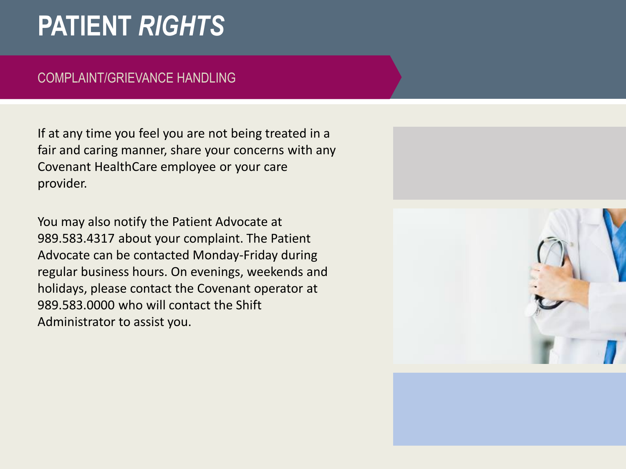### **PATIENT** *RIGHTS*

#### COMPLAINT/GRIEVANCE HANDLING

If at any time you feel you are not being treated in a fair and caring manner, share your concerns with any Covenant HealthCare employee or your care provider.

You may also notify the Patient Advocate at 989.583.4317 about your complaint. The Patient Advocate can be contacted Monday-Friday during regular business hours. On evenings, weekends and holidays, please contact the Covenant operator at 989.583.0000 who will contact the Shift Administrator to assist you.

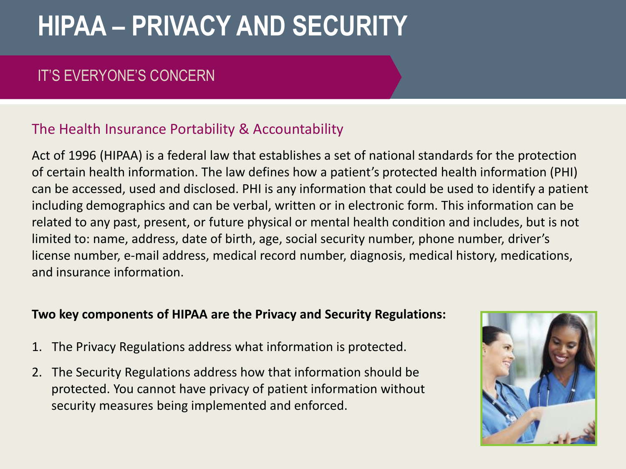### IT'S EVERYONE'S CONCERN

#### The Health Insurance Portability & Accountability

Act of 1996 (HIPAA) is a federal law that establishes a set of national standards for the protection of certain health information. The law defines how a patient's protected health information (PHI) can be accessed, used and disclosed. PHI is any information that could be used to identify a patient including demographics and can be verbal, written or in electronic form. This information can be related to any past, present, or future physical or mental health condition and includes, but is not limited to: name, address, date of birth, age, social security number, phone number, driver's license number, e-mail address, medical record number, diagnosis, medical history, medications, and insurance information.

#### **Two key components of HIPAA are the Privacy and Security Regulations:**

- 1. The Privacy Regulations address what information is protected.
- 2. The Security Regulations address how that information should be protected. You cannot have privacy of patient information without security measures being implemented and enforced.

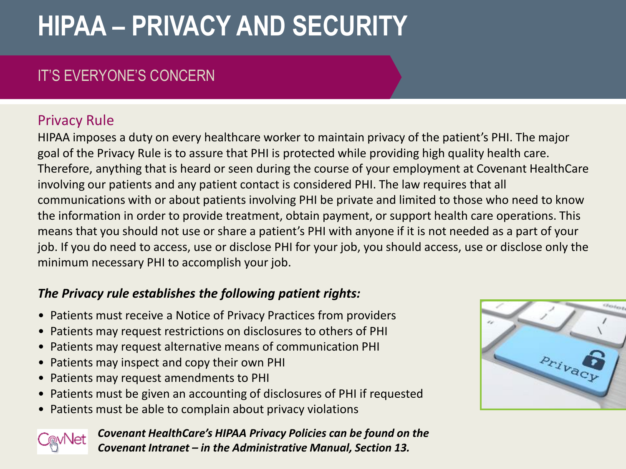### IT'S EVERYONE'S CONCERN

### Privacy Rule

HIPAA imposes a duty on every healthcare worker to maintain privacy of the patient's PHI. The major goal of the Privacy Rule is to assure that PHI is protected while providing high quality health care. Therefore, anything that is heard or seen during the course of your employment at Covenant HealthCare involving our patients and any patient contact is considered PHI. The law requires that all communications with or about patients involving PHI be private and limited to those who need to know the information in order to provide treatment, obtain payment, or support health care operations. This means that you should not use or share a patient's PHI with anyone if it is not needed as a part of your job. If you do need to access, use or disclose PHI for your job, you should access, use or disclose only the minimum necessary PHI to accomplish your job.

#### *The Privacy rule establishes the following patient rights:*

- Patients must receive a Notice of Privacy Practices from providers
- Patients may request restrictions on disclosures to others of PHI
- Patients may request alternative means of communication PHI
- Patients may inspect and copy their own PHI
- Patients may request amendments to PHI
- Patients must be given an accounting of disclosures of PHI if requested
- Patients must be able to complain about privacy violations



*Covenant HealthCare's HIPAA Privacy Policies can be found on the Covenant Intranet – in the Administrative Manual, Section 13.*

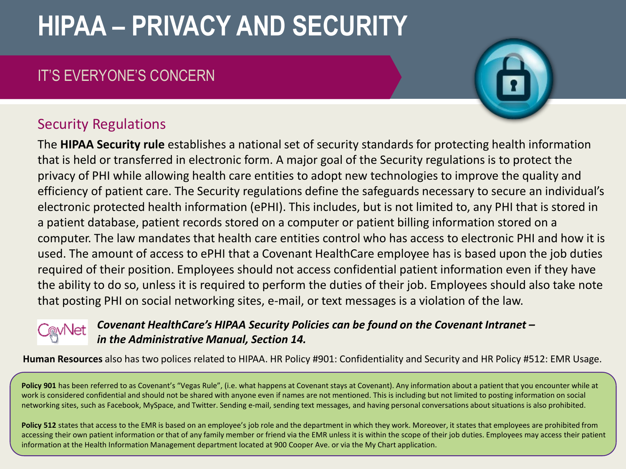### IT'S EVERYONE'S CONCERN

#### Security Regulations

The **HIPAA Security rule** establishes a national set of security standards for protecting health information that is held or transferred in electronic form. A major goal of the Security regulations is to protect the privacy of PHI while allowing health care entities to adopt new technologies to improve the quality and efficiency of patient care. The Security regulations define the safeguards necessary to secure an individual's electronic protected health information (ePHI). This includes, but is not limited to, any PHI that is stored in a patient database, patient records stored on a computer or patient billing information stored on a computer. The law mandates that health care entities control who has access to electronic PHI and how it is used. The amount of access to ePHI that a Covenant HealthCare employee has is based upon the job duties required of their position. Employees should not access confidential patient information even if they have the ability to do so, unless it is required to perform the duties of their job. Employees should also take note that posting PHI on social networking sites, e-mail, or text messages is a violation of the law.

#### *Covenant HealthCare's HIPAA Security Policies can be found on the Covenant Intranet – in the Administrative Manual, Section 14.*

**Human Resources** also has two polices related to HIPAA. HR Policy #901: Confidentiality and Security and HR Policy #512: EMR Usage.

Policy 901 has been referred to as Covenant's "Vegas Rule", (i.e. what happens at Covenant stays at Covenant). Any information about a patient that you encounter while at work is considered confidential and should not be shared with anyone even if names are not mentioned. This is including but not limited to posting information on social networking sites, such as Facebook, MySpace, and Twitter. Sending e-mail, sending text messages, and having personal conversations about situations is also prohibited.

Policy 512 states that access to the EMR is based on an employee's job role and the department in which they work. Moreover, it states that employees are prohibited from accessing their own patient information or that of any family member or friend via the EMR unless it is within the scope of their job duties. Employees may access their patient information at the Health Information Management department located at 900 Cooper Ave. or via the My Chart application.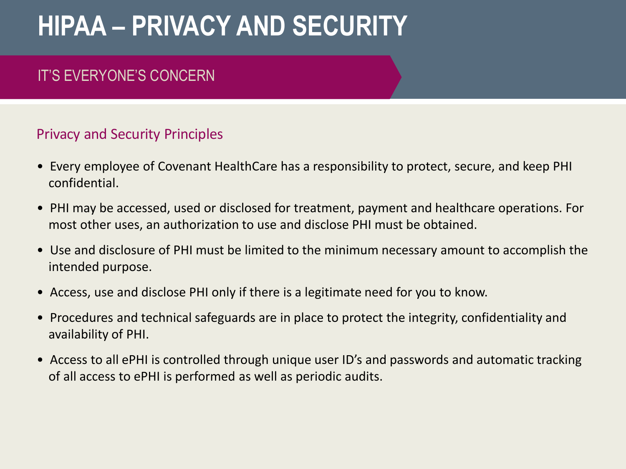### IT'S EVERYONE'S CONCERN

#### Privacy and Security Principles

- Every employee of Covenant HealthCare has a responsibility to protect, secure, and keep PHI confidential.
- PHI may be accessed, used or disclosed for treatment, payment and healthcare operations. For most other uses, an authorization to use and disclose PHI must be obtained.
- Use and disclosure of PHI must be limited to the minimum necessary amount to accomplish the intended purpose.
- Access, use and disclose PHI only if there is a legitimate need for you to know.
- Procedures and technical safeguards are in place to protect the integrity, confidentiality and availability of PHI.
- Access to all ePHI is controlled through unique user ID's and passwords and automatic tracking of all access to ePHI is performed as well as periodic audits.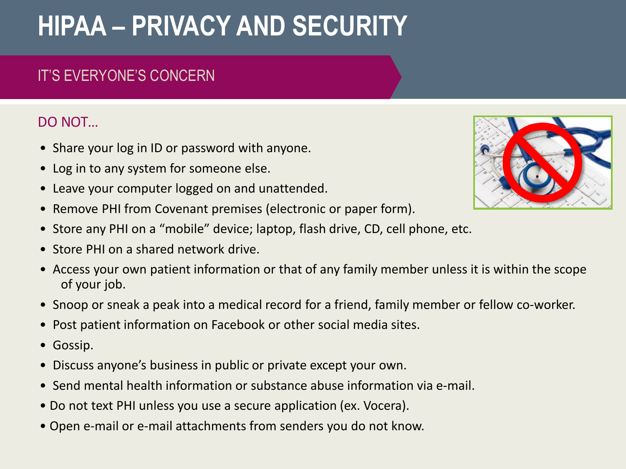### IT'S EVERYONE'S CONCERN

### DO NOT…

- Share your log in ID or password with anyone.
- Log in to any system for someone else.
- Leave your computer logged on and unattended.
- Remove PHI from Covenant premises (electronic or paper form).
- Store any PHI on a "mobile" device; laptop, flash drive, CD, cell phone, etc.
- Store PHI on a shared network drive.
- Access your own patient information or that of any family member unless it is within the scope of your job.
- Snoop or sneak a peak into a medical record for a friend, family member or fellow co-worker.
- Post patient information on Facebook or other social media sites.
- Gossip.
- Discuss anyone's business in public or private except your own.
- Send mental health information or substance abuse information via e-mail.
- Do not text PHI unless you use a secure application (ex. Vocera).
- Open e-mail or e-mail attachments from senders you do not know.

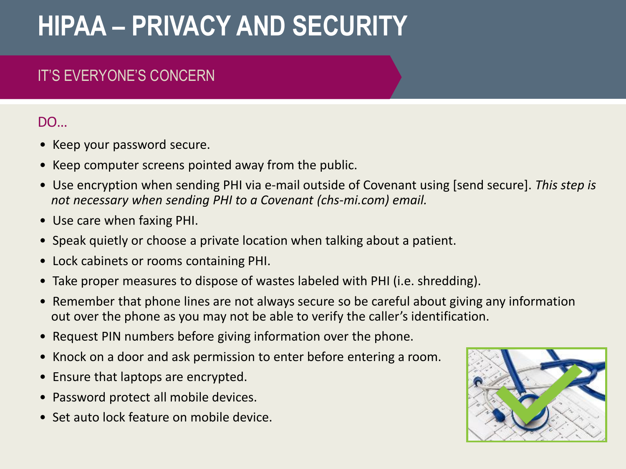### IT'S EVERYONE'S CONCERN

### DO…

- Keep your password secure.
- Keep computer screens pointed away from the public.
- Use encryption when sending PHI via e-mail outside of Covenant using [send secure]. *This step is not necessary when sending PHI to a Covenant (chs-mi.com) email.*
- Use care when faxing PHI.
- Speak quietly or choose a private location when talking about a patient.
- Lock cabinets or rooms containing PHI.
- Take proper measures to dispose of wastes labeled with PHI (i.e. shredding).
- Remember that phone lines are not always secure so be careful about giving any information out over the phone as you may not be able to verify the caller's identification.
- Request PIN numbers before giving information over the phone.
- Knock on a door and ask permission to enter before entering a room.
- Ensure that laptops are encrypted.
- Password protect all mobile devices.
- Set auto lock feature on mobile device.

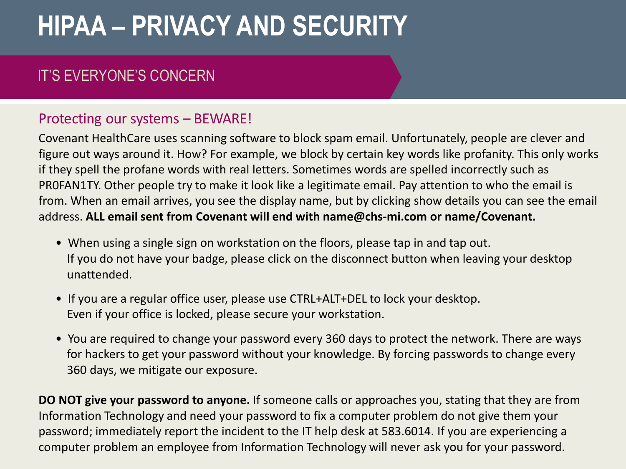### IT'S EVERYONE'S CONCERN

#### Protecting our systems – BEWARE!

Covenant HealthCare uses scanning software to block spam email. Unfortunately, people are clever and figure out ways around it. How? For example, we block by certain key words like profanity. This only works if they spell the profane words with real letters. Sometimes words are spelled incorrectly such as PR0FAN1TY. Other people try to make it look like a legitimate email. Pay attention to who the email is from. When an email arrives, you see the display name, but by clicking show details you can see the email address. **ALL email sent from Covenant will end with name@chs-mi.com or name/Covenant.**

- When using a single sign on workstation on the floors, please tap in and tap out. If you do not have your badge, please click on the disconnect button when leaving your desktop unattended.
- If you are a regular office user, please use CTRL+ALT+DEL to lock your desktop. Even if your office is locked, please secure your workstation.
- You are required to change your password every 360 days to protect the network. There are ways for hackers to get your password without your knowledge. By forcing passwords to change every 360 days, we mitigate our exposure.

**DO NOT give your password to anyone.** If someone calls or approaches you, stating that they are from Information Technology and need your password to fix a computer problem do not give them your password; immediately report the incident to the IT help desk at 583.6014. If you are experiencing a computer problem an employee from Information Technology will never ask you for your password.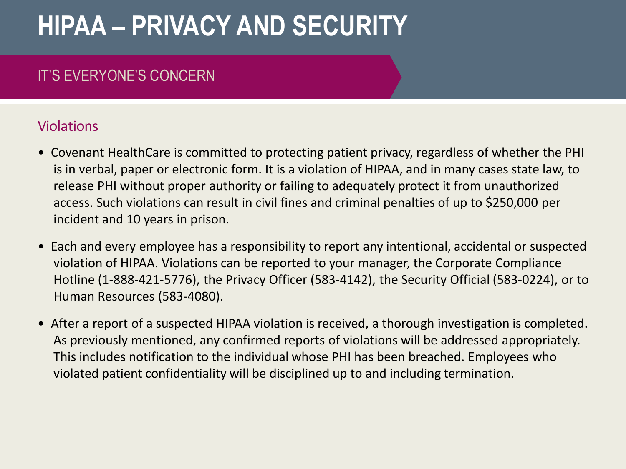### IT'S EVERYONE'S CONCERN

#### Violations

- Covenant HealthCare is committed to protecting patient privacy, regardless of whether the PHI is in verbal, paper or electronic form. It is a violation of HIPAA, and in many cases state law, to release PHI without proper authority or failing to adequately protect it from unauthorized access. Such violations can result in civil fines and criminal penalties of up to \$250,000 per incident and 10 years in prison.
- Each and every employee has a responsibility to report any intentional, accidental or suspected violation of HIPAA. Violations can be reported to your manager, the Corporate Compliance Hotline (1-888-421-5776), the Privacy Officer (583-4142), the Security Official (583-0224), or to Human Resources (583-4080).
- After a report of a suspected HIPAA violation is received, a thorough investigation is completed. As previously mentioned, any confirmed reports of violations will be addressed appropriately. This includes notification to the individual whose PHI has been breached. Employees who violated patient confidentiality will be disciplined up to and including termination.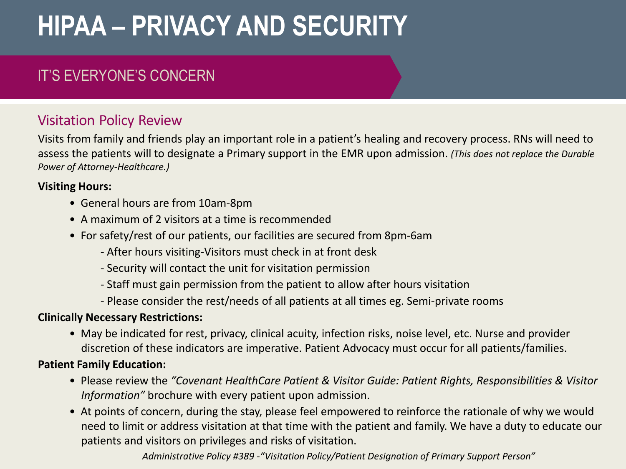### IT'S EVERYONE'S CONCERN

#### Visitation Policy Review

Visits from family and friends play an important role in a patient's healing and recovery process. RNs will need to assess the patients will to designate a Primary support in the EMR upon admission. *(This does not replace the Durable Power of Attorney-Healthcare.)*

#### **Visiting Hours:**

- General hours are from 10am-8pm
- A maximum of 2 visitors at a time is recommended
- For safety/rest of our patients, our facilities are secured from 8pm-6am
	- After hours visiting-Visitors must check in at front desk
	- Security will contact the unit for visitation permission
	- Staff must gain permission from the patient to allow after hours visitation
	- Please consider the rest/needs of all patients at all times eg. Semi-private rooms

#### **Clinically Necessary Restrictions:**

• May be indicated for rest, privacy, clinical acuity, infection risks, noise level, etc. Nurse and provider discretion of these indicators are imperative. Patient Advocacy must occur for all patients/families.

#### **Patient Family Education:**

- Please review the *"Covenant HealthCare Patient & Visitor Guide: Patient Rights, Responsibilities & Visitor Information"* brochure with every patient upon admission.
- At points of concern, during the stay, please feel empowered to reinforce the rationale of why we would need to limit or address visitation at that time with the patient and family. We have a duty to educate our patients and visitors on privileges and risks of visitation.

*Administrative Policy #389 -"Visitation Policy/Patient Designation of Primary Support Person"*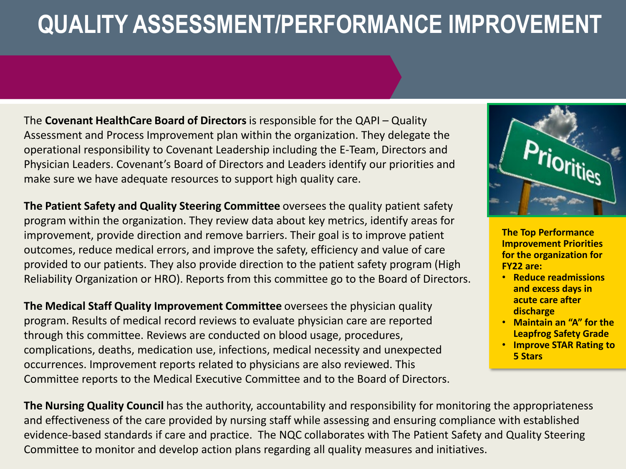### **QUALITY ASSESSMENT/PERFORMANCE IMPROVEMENT**

The **Covenant HealthCare Board of Directors** is responsible for the QAPI – Quality Assessment and Process Improvement plan within the organization. They delegate the operational responsibility to Covenant Leadership including the E-Team, Directors and Physician Leaders. Covenant's Board of Directors and Leaders identify our priorities and make sure we have adequate resources to support high quality care.

**The Patient Safety and Quality Steering Committee** oversees the quality patient safety program within the organization. They review data about key metrics, identify areas for improvement, provide direction and remove barriers. Their goal is to improve patient outcomes, reduce medical errors, and improve the safety, efficiency and value of care provided to our patients. They also provide direction to the patient safety program (High Reliability Organization or HRO). Reports from this committee go to the Board of Directors.

**The Medical Staff Quality Improvement Committee** oversees the physician quality program. Results of medical record reviews to evaluate physician care are reported through this committee. Reviews are conducted on blood usage, procedures, complications, deaths, medication use, infections, medical necessity and unexpected occurrences. Improvement reports related to physicians are also reviewed. This Committee reports to the Medical Executive Committee and to the Board of Directors.



**The Top Performance Improvement Priorities for the organization for FY22 are:**

- **Reduce readmissions and excess days in acute care after discharge**
- **Maintain an "A" for the Leapfrog Safety Grade**
- **Improve STAR Rating to 5 Stars**

**The Nursing Quality Council** has the authority, accountability and responsibility for monitoring the appropriateness and effectiveness of the care provided by nursing staff while assessing and ensuring compliance with established evidence-based standards if care and practice. The NQC collaborates with The Patient Safety and Quality Steering Committee to monitor and develop action plans regarding all quality measures and initiatives.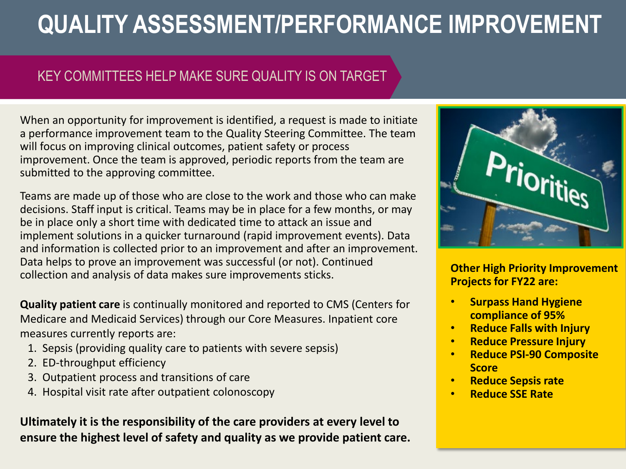### **QUALITY ASSESSMENT/PERFORMANCE IMPROVEMENT**

#### KEY COMMITTEES HELP MAKE SURE QUALITY IS ON TARGET

When an opportunity for improvement is identified, a request is made to initiate a performance improvement team to the Quality Steering Committee. The team will focus on improving clinical outcomes, patient safety or process improvement. Once the team is approved, periodic reports from the team are submitted to the approving committee.

Teams are made up of those who are close to the work and those who can make decisions. Staff input is critical. Teams may be in place for a few months, or may be in place only a short time with dedicated time to attack an issue and implement solutions in a quicker turnaround (rapid improvement events). Data and information is collected prior to an improvement and after an improvement. Data helps to prove an improvement was successful (or not). Continued collection and analysis of data makes sure improvements sticks.

**Quality patient care** is continually monitored and reported to CMS (Centers for Medicare and Medicaid Services) through our Core Measures. Inpatient core measures currently reports are:

- 1. Sepsis (providing quality care to patients with severe sepsis)
- 2. ED-throughput efficiency
- 3. Outpatient process and transitions of care
- 4. Hospital visit rate after outpatient colonoscopy

**Ultimately it is the responsibility of the care providers at every level to ensure the highest level of safety and quality as we provide patient care.**



**Other High Priority Improvement Projects for FY22 are:**

- **Surpass Hand Hygiene compliance of 95%**
- **Reduce Falls with Injury**
- **Reduce Pressure Injury**
- **Reduce PSI-90 Composite Score**
- **Reduce Sepsis rate**
- **Reduce SSE Rate**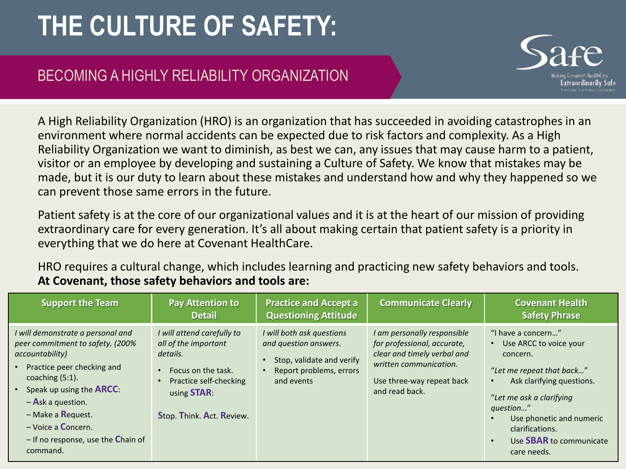

### BECOMING A HIGHLY RELIABILITY ORGANIZATION

A High Reliability Organization (HRO) is an organization that has succeeded in avoiding catastrophes in an environment where normal accidents can be expected due to risk factors and complexity. As a High Reliability Organization we want to diminish, as best we can, any issues that may cause harm to a patient, visitor or an employee by developing and sustaining a Culture of Safety. We know that mistakes may be made, but it is our duty to learn about these mistakes and understand how and why they happened so we can prevent those same errors in the future.

Patient safety is at the core of our organizational values and it is at the heart of our mission of providing extraordinary care for every generation. It's all about making certain that patient safety is a priority in everything that we do here at Covenant HealthCare.

HRO requires a cultural change, which includes learning and practicing new safety behaviors and tools. **At Covenant, those safety behaviors and tools are:**

| <b>Support the Team</b>                                                                                                                                                                                                                                                                                                  | <b>Pay Attention to</b><br><b>Detail</b>                                                                                                                           | <b>Practice and Accept a</b><br><b>Questioning Attitude</b>                                                              | <b>Communicate Clearly</b>                                                                                                                                         | <b>Covenant Health</b><br><b>Safety Phrase</b>                                                                                                                                                                                                                           |
|--------------------------------------------------------------------------------------------------------------------------------------------------------------------------------------------------------------------------------------------------------------------------------------------------------------------------|--------------------------------------------------------------------------------------------------------------------------------------------------------------------|--------------------------------------------------------------------------------------------------------------------------|--------------------------------------------------------------------------------------------------------------------------------------------------------------------|--------------------------------------------------------------------------------------------------------------------------------------------------------------------------------------------------------------------------------------------------------------------------|
| I will demonstrate a personal and<br>peer commitment to safety. (200%<br>accountability)<br>Practice peer checking and<br>coaching $(5:1)$ .<br>Speak up using the <b>ARCC</b> :<br>$-$ <b>A</b> sk a question.<br>- Make a <b>R</b> eguest.<br>$-$ Voice a Concern.<br>$-$ If no response, use the Chain of<br>command. | I will attend carefully to<br>all of the important<br>details.<br>Focus on the task.<br>Practice self-checking<br>using <b>STAR</b> :<br>Stop. Think. Act. Review. | I will both ask questions<br>and question answers.<br>Stop, validate and verify<br>Report problems, errors<br>and events | I am personally responsible<br>for professional, accurate,<br>clear and timely verbal and<br>written communication.<br>Use three-way repeat back<br>and read back. | "I have a concern"<br>Use ARCC to voice your<br>concern.<br>"Let me repeat that back"<br>Ask clarifying questions.<br>"Let me ask a clarifying<br>question"<br>Use phonetic and numeric<br>clarifications.<br>Use <b>SBAR</b> to communicate<br>$\bullet$<br>care needs. |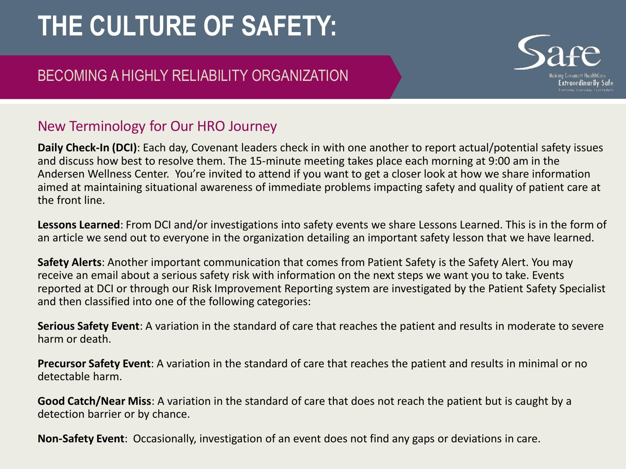### BECOMING A HIGHLY RELIABILITY ORGANIZATION

### New Terminology for Our HRO Journey

**Daily Check-In (DCI)**: Each day, Covenant leaders check in with one another to report actual/potential safety issues and discuss how best to resolve them. The 15-minute meeting takes place each morning at 9:00 am in the Andersen Wellness Center. You're invited to attend if you want to get a closer look at how we share information aimed at maintaining situational awareness of immediate problems impacting safety and quality of patient care at the front line.

**Lessons Learned**: From DCI and/or investigations into safety events we share Lessons Learned. This is in the form of an article we send out to everyone in the organization detailing an important safety lesson that we have learned.

**Safety Alerts**: Another important communication that comes from Patient Safety is the Safety Alert. You may receive an email about a serious safety risk with information on the next steps we want you to take. Events reported at DCI or through our Risk Improvement Reporting system are investigated by the Patient Safety Specialist and then classified into one of the following categories:

**Serious Safety Event**: A variation in the standard of care that reaches the patient and results in moderate to severe harm or death.

**Precursor Safety Event**: A variation in the standard of care that reaches the patient and results in minimal or no detectable harm.

**Good Catch/Near Miss**: A variation in the standard of care that does not reach the patient but is caught by a detection barrier or by chance.

**Non-Safety Event**: Occasionally, investigation of an event does not find any gaps or deviations in care.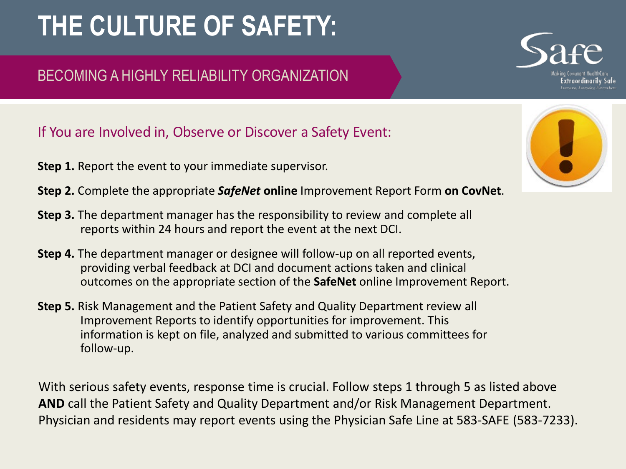### BECOMING A HIGHLY RELIABILITY ORGANIZATION

If You are Involved in, Observe or Discover a Safety Event:

- **Step 1.** Report the event to your immediate supervisor.
- **Step 2.** Complete the appropriate *SafeNet* **online** Improvement Report Form **on CovNet**.
- **Step 3.** The department manager has the responsibility to review and complete all reports within 24 hours and report the event at the next DCI.
- **Step 4.** The department manager or designee will follow-up on all reported events, providing verbal feedback at DCI and document actions taken and clinical outcomes on the appropriate section of the **SafeNet** online Improvement Report.
- **Step 5.** Risk Management and the Patient Safety and Quality Department review all Improvement Reports to identify opportunities for improvement. This information is kept on file, analyzed and submitted to various committees for follow-up.

With serious safety events, response time is crucial. Follow steps 1 through 5 as listed above **AND** call the Patient Safety and Quality Department and/or Risk Management Department. Physician and residents may report events using the Physician Safe Line at 583-SAFE (583-7233).



: xtraordinarily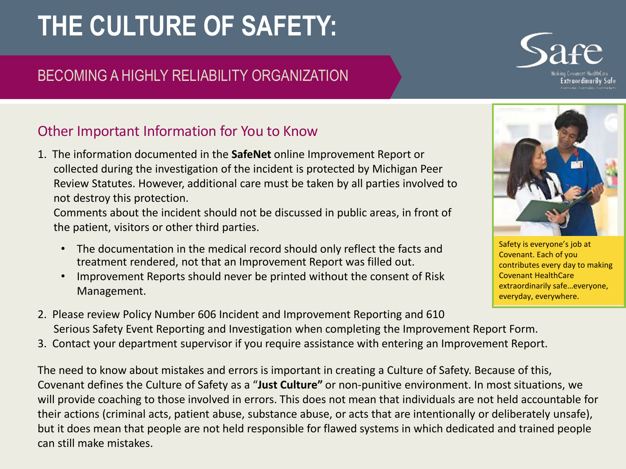### BECOMING A HIGHLY RELIABILITY ORGANIZATION

#### Other Important Information for You to Know

1. The information documented in the **SafeNet** online Improvement Report or collected during the investigation of the incident is protected by Michigan Peer Review Statutes. However, additional care must be taken by all parties involved to not destroy this protection.

Comments about the incident should not be discussed in public areas, in front of the patient, visitors or other third parties.

- The documentation in the medical record should only reflect the facts and treatment rendered, not that an Improvement Report was filled out.
- Improvement Reports should never be printed without the consent of Risk Management.
- 2. Please review Policy Number 606 Incident and Improvement Reporting and 610 Serious Safety Event Reporting and Investigation when completing the Improvement Report Form.
- 3. Contact your department supervisor if you require assistance with entering an Improvement Report.

The need to know about mistakes and errors is important in creating a Culture of Safety. Because of this, Covenant defines the Culture of Safety as a "**Just Culture"** or non-punitive environment. In most situations, we will provide coaching to those involved in errors. This does not mean that individuals are not held accountable for their actions (criminal acts, patient abuse, substance abuse, or acts that are intentionally or deliberately unsafe), but it does mean that people are not held responsible for flawed systems in which dedicated and trained people can still make mistakes.

Safety is everyone's job at Covenant. Each of you contributes every day to making Covenant HealthCare extraordinarily safe…everyone, everyday, everywhere.



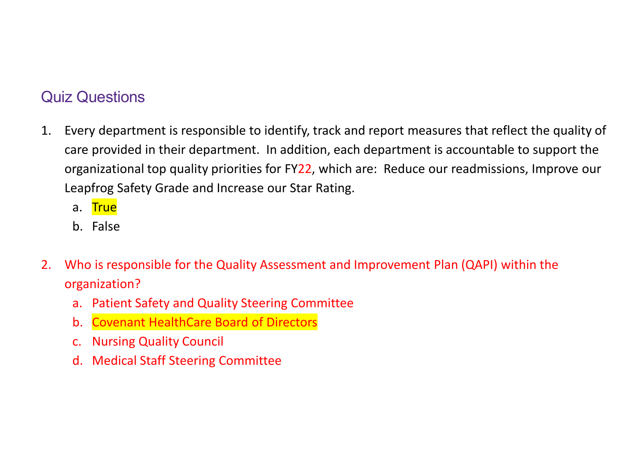### Quiz Questions

- 1. Every department is responsible to identify, track and report measures that reflect the quality of care provided in their department. In addition, each department is accountable to support the organizational top quality priorities for FY22, which are: Reduce our readmissions, Improve our Leapfrog Safety Grade and Increase our Star Rating.
	- a. True
	- b. False
- 2. Who is responsible for the Quality Assessment and Improvement Plan (QAPI) within the organization?
	- a. Patient Safety and Quality Steering Committee
	- b. Covenant HealthCare Board of Directors
	- c. Nursing Quality Council
	- d. Medical Staff Steering Committee